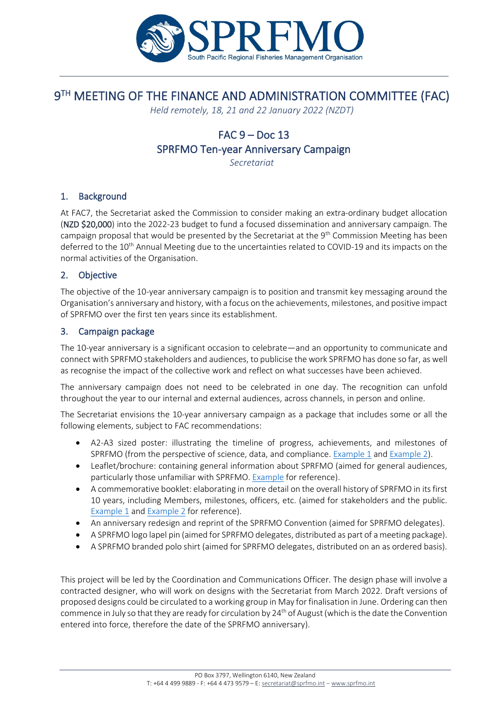

# 9TH MEETING OF THE FINANCE AND ADMINISTRATION COMMITTEE (FAC)

*Held remotely, 18, 21 and 22 January 2022 (NZDT)*

# $FAC 9 - Doc 13$ SPRFMO Ten-year Anniversary Campaign

*Secretariat*

## 1. Background

At FAC7, the Secretariat asked the Commission to consider making an extra-ordinary budget allocation (NZD \$20,000) into the 2022-23 budget to fund a focused dissemination and anniversary campaign. The campaign proposal that would be presented by the Secretariat at the 9<sup>th</sup> Commission Meeting has been deferred to the 10<sup>th</sup> Annual Meeting due to the uncertainties related to COVID-19 and its impacts on the normal activities of the Organisation.

#### 2. Objective

The objective of the 10-year anniversary campaign is to position and transmit key messaging around the Organisation's anniversary and history, with a focus on the achievements, milestones, and positive impact of SPRFMO over the first ten years since its establishment.

#### 3. Campaign package

The 10-year anniversary is a significant occasion to celebrate—and an opportunity to communicate and connect with SPRFMO stakeholders and audiences, to publicise the work SPRFMO has done so far, as well as recognise the impact of the collective work and reflect on what successes have been achieved.

The anniversary campaign does not need to be celebrated in one day. The recognition can unfold throughout the year to our internal and external audiences, across channels, in person and online.

The Secretariat envisions the 10-year anniversary campaign as a package that includes some or all the following elements, subject to FAC recommendations:

- A2-A3 sized poster: illustrating the timeline of progress, achievements, and milestones of SPRFMO (from the perspective of science, data, and compliance. [Example](https://www.zazzle.co.nz/oceans_infographic_poster-228965855456432107?rf=238950460858321277&tc=CjwKCAiAzrWOBhBjEiwAq85QZ7nz-xQp2a3RAMk2FF3RGGIc2D69qi-9BIxS-f_A2Fl5pPmObfYLwhoCw24QAvD_BwE&utm_source=google&utm_medium=cpc&utm_campaign=NZ_Shopping_DSA&utm_term=&ca_chid=2001810&ca_source=gaw&ca_ace=&ca_nw=g&ca_dev=c&ca_pl=&ca_pos=&ca_cid=338803206625&ca_agid=68804591980&ca_caid=1739871285&ca_adid=338803206625&ca_kwt=&ca_mt=&ca_fid=&ca_tid=pla-293946777986&ca_lp=1011058&ca_li=&ca_devm=&ca_plt=&gclsrc=aw.ds&gclid=CjwKCAiAzrWOBhBjEiwAq85QZ7nz-xQp2a3RAMk2FF3RGGIc2D69qi-9BIxS-f_A2Fl5pPmObfYLwhoCw24QAvD_BwE)  $1$  and Example  $2$ ).
- Leaflet/brochure: containing general information about SPRFMO (aimed for general audiences, particularly those unfamiliar with SPRFMO. Example [for reference\)](https://www.wcpfc.int/doc/wcpfc-brochure).
- A commemorative booklet: elaborating in more detail on the overall history of SPRFMO in its first 10 years, including Members, milestones, officers, etc. (aimed for stakeholders and the public. [Example 1](https://www.acap.aq/all-the-docs/misc-docs/2590-achievements-in-the-first-ten-years-2004-2014/file) and [Example 2](https://www.ccamlr.org/en/system/files/CCAMLR%20Brochure-English.pdf) for reference).
- An anniversary redesign and reprint of the SPRFMO Convention (aimed for SPRFMO delegates).
- A SPRFMO logo lapel pin (aimed for SPRFMO delegates, distributed as part of a meeting package).
- A SPRFMO branded polo shirt (aimed for SPRFMO delegates, distributed on an as ordered basis).

This project will be led by the Coordination and Communications Officer. The design phase will involve a contracted designer, who will work on designs with the Secretariat from March 2022. Draft versions of proposed designs could be circulated to a working group in May for finalisation in June. Ordering can then commence in July so that they are ready for circulation by  $24<sup>th</sup>$  of August (which is the date the Convention entered into force, therefore the date of the SPRFMO anniversary).